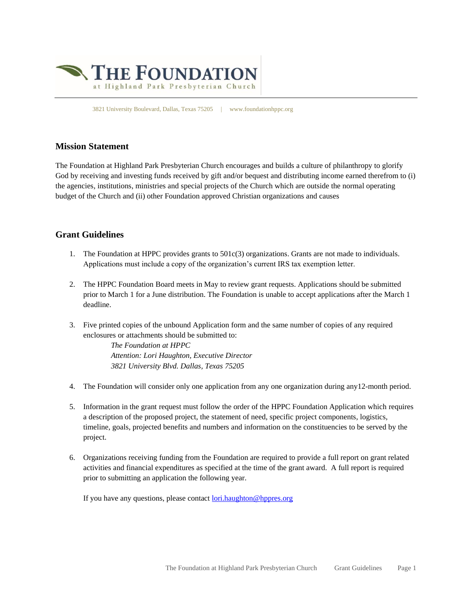

3821 University Boulevard, Dallas, Texas 75205 | www.foundationhppc.org

## **Mission Statement**

The Foundation at Highland Park Presbyterian Church encourages and builds a culture of philanthropy to glorify God by receiving and investing funds received by gift and/or bequest and distributing income earned therefrom to (i) the agencies, institutions, ministries and special projects of the Church which are outside the normal operating budget of the Church and (ii) other Foundation approved Christian organizations and causes

## **Grant Guidelines**

- 1. The Foundation at HPPC provides grants to 501c(3) organizations. Grants are not made to individuals. Applications must include a copy of the organization's current IRS tax exemption letter.
- 2. The HPPC Foundation Board meets in May to review grant requests. Applications should be submitted prior to March 1 for a June distribution. The Foundation is unable to accept applications after the March 1 deadline.
- 3. Five printed copies of the unbound Application form and the same number of copies of any required enclosures or attachments should be submitted to:

*The Foundation at HPPC Attention: Lori Haughton, Executive Director 3821 University Blvd. Dallas, Texas 75205*

- 4. The Foundation will consider only one application from any one organization during any12-month period.
- 5. Information in the grant request must follow the order of the HPPC Foundation Application which requires a description of the proposed project, the statement of need, specific project components, logistics, timeline, goals, projected benefits and numbers and information on the constituencies to be served by the project.
- 6. Organizations receiving funding from the Foundation are required to provide a full report on grant related activities and financial expenditures as specified at the time of the grant award. A full report is required prior to submitting an application the following year.

If you have any questions, please contac[t lori.haughton@hppres.org](mailto:lori.haughton@hppres.org)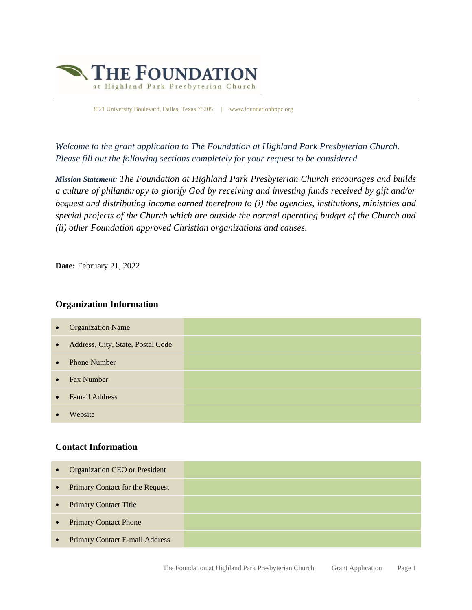

3821 University Boulevard, Dallas, Texas 75205 | www.foundationhppc.org

*Welcome to the grant application to The Foundation at Highland Park Presbyterian Church. Please fill out the following sections completely for your request to be considered.*

*Mission Statement: The Foundation at Highland Park Presbyterian Church encourages and builds a culture of philanthropy to glorify God by receiving and investing funds received by gift and/or bequest and distributing income earned therefrom to (i) the agencies, institutions, ministries and special projects of the Church which are outside the normal operating budget of the Church and (ii) other Foundation approved Christian organizations and causes.*

**Date:** February 21, 2022

### **Organization Information**

| $\bullet$ | <b>Organization Name</b>          |  |
|-----------|-----------------------------------|--|
| $\bullet$ | Address, City, State, Postal Code |  |
| $\bullet$ | <b>Phone Number</b>               |  |
| $\bullet$ | <b>Fax Number</b>                 |  |
| $\bullet$ | E-mail Address                    |  |
|           | Website                           |  |

# **Contact Information**

| $\bullet$ | <b>Organization CEO or President</b> |  |
|-----------|--------------------------------------|--|
| $\bullet$ | Primary Contact for the Request      |  |
| $\bullet$ | <b>Primary Contact Title</b>         |  |
| $\bullet$ | <b>Primary Contact Phone</b>         |  |
| $\bullet$ | Primary Contact E-mail Address       |  |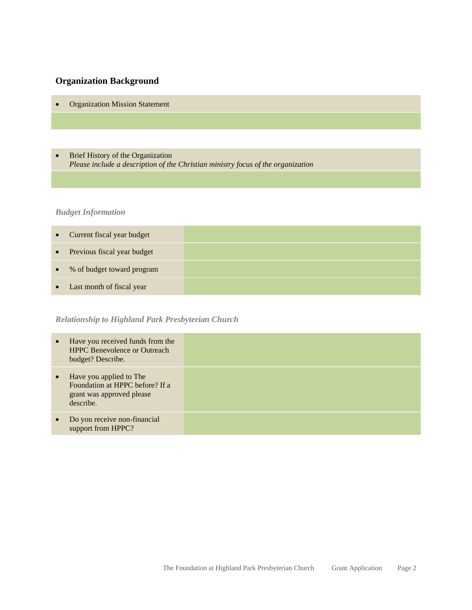# **Organization Background**

- Organization Mission Statement
- Brief History of the Organization *Please include a description of the Christian ministry focus of the organization*

## *Budget Information*

|           | • Current fiscal year budget  |  |
|-----------|-------------------------------|--|
|           | • Previous fiscal year budget |  |
|           | • % of budget toward program  |  |
| $\bullet$ | Last month of fiscal year     |  |

# *Relationship to Highland Park Presbyterian Church*

| $\bullet$ | Have you received funds from the<br><b>HPPC</b> Benevolence or Outreach<br>budget? Describe.         |  |
|-----------|------------------------------------------------------------------------------------------------------|--|
| $\bullet$ | Have you applied to The<br>Foundation at HPPC before? If a<br>grant was approved please<br>describe. |  |
| $\bullet$ | Do you receive non-financial<br>support from HPPC?                                                   |  |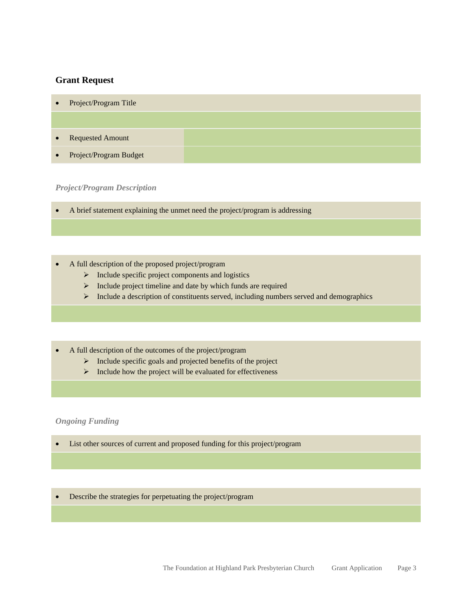### **Grant Request**

| $\bullet$ | Project/Program Title    |  |
|-----------|--------------------------|--|
|           |                          |  |
| $\bullet$ | <b>Requested Amount</b>  |  |
|           | • Project/Program Budget |  |

#### *Project/Program Description*

• A brief statement explaining the unmet need the project/program is addressing

• A full description of the proposed project/program

- ➢ Include specific project components and logistics
- ➢ Include project timeline and date by which funds are required
- ➢ Include a description of constituents served, including numbers served and demographics
- A full description of the outcomes of the project/program
	- ➢ Include specific goals and projected benefits of the project
	- ➢ Include how the project will be evaluated for effectiveness

#### *Ongoing Funding*

• List other sources of current and proposed funding for this project/program

• Describe the strategies for perpetuating the project/program